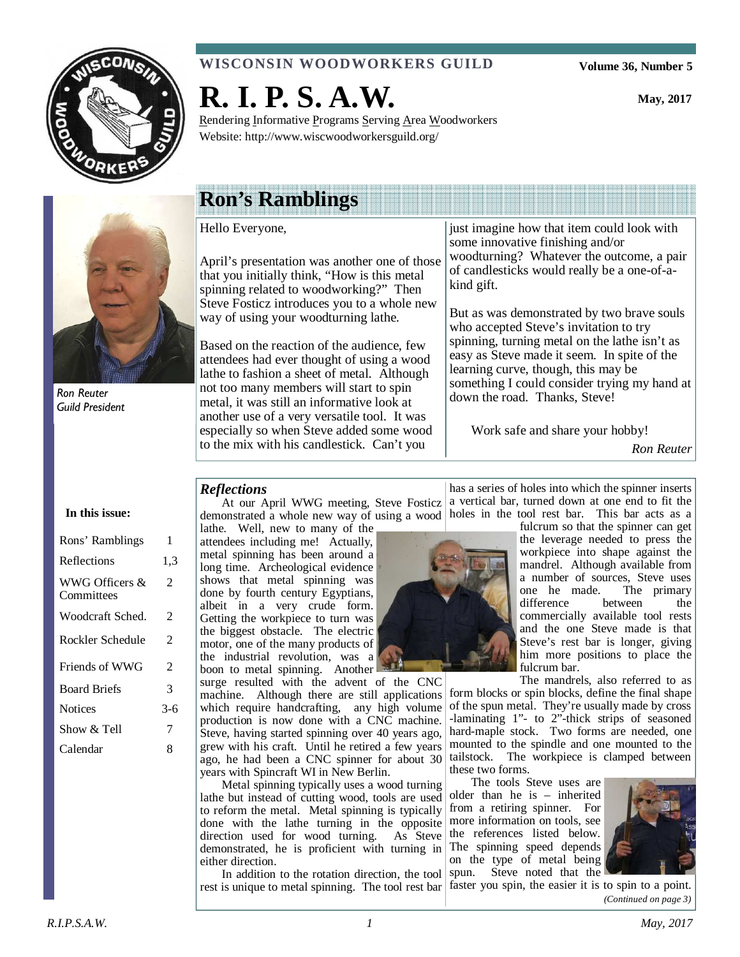

## **WISCONSIN WOODWORKERS GUILD**

Rendering Informative Programs Serving Area Woodworkers

**Volume 36, Number 5** 

**May, 2017** 



Ron Reuter Guild President

# **Ron's Ramblings**

**R. I. P. S. A.W.** 

Website: http://www.wiscwoodworkersguild.org/

Hello Everyone,

April's presentation was another one of those that you initially think, "How is this metal spinning related to woodworking?" Then Steve Fosticz introduces you to a whole new way of using your woodturning lathe.

Based on the reaction of the audience, few attendees had ever thought of using a wood lathe to fashion a sheet of metal. Although not too many members will start to spin metal, it was still an informative look at another use of a very versatile tool. It was especially so when Steve added some wood to the mix with his candlestick. Can't you

just imagine how that item could look with some innovative finishing and/or woodturning? Whatever the outcome, a pair of candlesticks would really be a one-of-akind gift.

But as was demonstrated by two brave souls who accepted Steve's invitation to try spinning, turning metal on the lathe isn't as easy as Steve made it seem. In spite of the learning curve, though, this may be something I could consider trying my hand at down the road. Thanks, Steve!

Work safe and share your hobby!

*Ron Reuter* 

#### *Reflections*

At our April WWG meeting, Steve Fosticz demonstrated a whole new way of using a wood holes in the tool rest bar. This bar acts as a

lathe. Well, new to many of the attendees including me! Actually, metal spinning has been around a long time. Archeological evidence shows that metal spinning was done by fourth century Egyptians, albeit in a very crude form. Getting the workpiece to turn was the biggest obstacle. The electric motor, one of the many products of the industrial revolution, was a boon to metal spinning. Another

surge resulted with the advent of the CNC machine. Although there are still applications which require handcrafting, any high volume production is now done with a CNC machine. Steve, having started spinning over 40 years ago, grew with his craft. Until he retired a few years ago, he had been a CNC spinner for about 30 years with Spincraft WI in New Berlin.

Metal spinning typically uses a wood turning lathe but instead of cutting wood, tools are used to reform the metal. Metal spinning is typically done with the lathe turning in the opposite direction used for wood turning. As Steve demonstrated, he is proficient with turning in either direction.

In addition to the rotation direction, the tool rest is unique to metal spinning. The tool rest bar

has a series of holes into which the spinner inserts a vertical bar, turned down at one end to fit the



fulcrum so that the spinner can get the leverage needed to press the workpiece into shape against the mandrel. Although available from a number of sources, Steve uses<br>one he made. The primary one he made. difference between the commercially available tool rests and the one Steve made is that Steve's rest bar is longer, giving him more positions to place the fulcrum bar.

The mandrels, also referred to as

form blocks or spin blocks, define the final shape of the spun metal. They're usually made by cross -laminating 1"- to 2"-thick strips of seasoned hard-maple stock. Two forms are needed, one mounted to the spindle and one mounted to the tailstock. The workpiece is clamped between these two forms.

The tools Steve uses are older than he is – inherited from a retiring spinner. For more information on tools, see the references listed below. The spinning speed depends on the type of metal being spun. Steve noted that the



faster you spin, the easier it is to spin to a point. *(Continued on page 3)* 

# **In this issue:**

| Rons' Ramblings              | 1                        |
|------------------------------|--------------------------|
| Reflections                  | 1,3                      |
| WWG Officers &<br>Committees | $\overline{\mathcal{L}}$ |
| Woodcraft Sched.             | 2                        |
| Rockler Schedule             | $\overline{\mathcal{L}}$ |
| Friends of WWG               | $\overline{\mathcal{L}}$ |
| <b>Board Briefs</b>          | 3                        |
| <b>Notices</b>               | 3-6                      |
| Show & Tell                  | 7                        |
| Calendar                     | 8                        |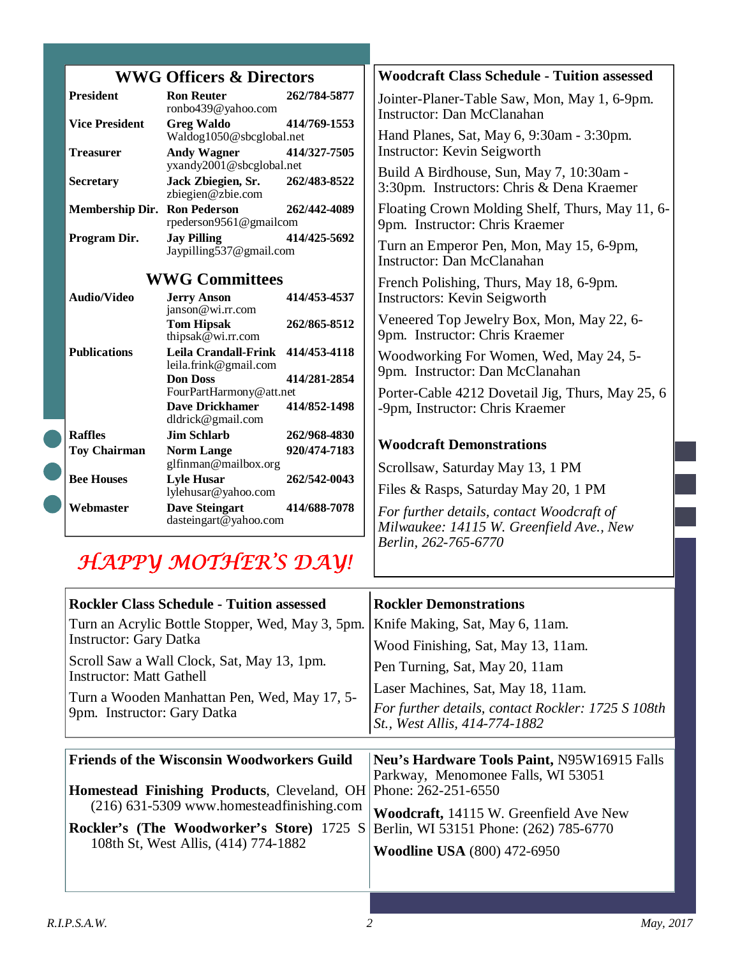| <b>WWG Officers &amp; Directors</b> |                                                                                    |                              | <b>Woodcraft Class Schedule - Tuition assessed</b>                                                            |
|-------------------------------------|------------------------------------------------------------------------------------|------------------------------|---------------------------------------------------------------------------------------------------------------|
| <b>President</b>                    | <b>Ron Reuter</b><br>ronbo439@yahoo.com                                            | 262/784-5877                 | Jointer-Planer-Table Saw, Mon, May 1, 6-9pm.<br><b>Instructor: Dan McClanahan</b>                             |
| <b>Vice President</b>               | <b>Greg Waldo</b><br>Waldog1050@sbcglobal.net                                      | 414/769-1553                 | Hand Planes, Sat, May 6, 9:30am - 3:30pm.                                                                     |
| <b>Treasurer</b>                    | <b>Andy Wagner</b><br>yxandy2001@sbcglobal.net                                     | 414/327-7505                 | <b>Instructor: Kevin Seigworth</b>                                                                            |
| <b>Secretary</b>                    | Jack Zbiegien, Sr.<br>zbiegien@zbie.com                                            | 262/483-8522                 | Build A Birdhouse, Sun, May 7, 10:30am -<br>3:30pm. Instructors: Chris & Dena Kraemer                         |
| <b>Membership Dir. Ron Pederson</b> | rpederson9561@gmailcom                                                             | 262/442-4089                 | Floating Crown Molding Shelf, Thurs, May 11, 6-<br>9pm. Instructor: Chris Kraemer                             |
| Program Dir.                        | <b>Jay Pilling</b><br>Jaypilling537@gmail.com                                      | 414/425-5692                 | Turn an Emperor Pen, Mon, May 15, 6-9pm,<br><b>Instructor: Dan McClanahan</b>                                 |
| <b>WWG Committees</b>               |                                                                                    |                              | French Polishing, Thurs, May 18, 6-9pm.                                                                       |
| <b>Audio/Video</b>                  | <b>Jerry Anson</b><br>janson@wi.rr.com                                             | 414/453-4537                 | <b>Instructors: Kevin Seigworth</b>                                                                           |
|                                     | <b>Tom Hipsak</b><br>thipsak@wi.rr.com                                             | 262/865-8512                 | Veneered Top Jewelry Box, Mon, May 22, 6-<br>9pm. Instructor: Chris Kraemer                                   |
| <b>Publications</b>                 | <b>Leila Crandall-Frink</b><br>leila.frink@gmail.com                               | 414/453-4118                 | Woodworking For Women, Wed, May 24, 5-<br>9pm. Instructor: Dan McClanahan                                     |
|                                     | <b>Don Doss</b><br>FourPartHarmony@att.net<br>Dave Drickhamer<br>dldrick@gmail.com | 414/281-2854<br>414/852-1498 | Porter-Cable 4212 Dovetail Jig, Thurs, May 25, 6<br>-9pm, Instructor: Chris Kraemer                           |
| <b>Raffles</b>                      | <b>Jim Schlarb</b>                                                                 | 262/968-4830                 |                                                                                                               |
| <b>Toy Chairman</b>                 | <b>Norm Lange</b><br>glfinman@mailbox.org                                          | 920/474-7183                 | <b>Woodcraft Demonstrations</b><br>Scrollsaw, Saturday May 13, 1 PM                                           |
| <b>Bee Houses</b>                   | <b>Lyle Husar</b><br>lylehusar@yahoo.com                                           | 262/542-0043                 | Files & Rasps, Saturday May 20, 1 PM                                                                          |
| Webmaster                           | <b>Dave Steingart</b><br>dasteingart@yahoo.com                                     | 414/688-7078                 | For further details, contact Woodcraft of<br>Milwaukee: 14115 W. Greenfield Ave., New<br>Berlin, 262-765-6770 |
|                                     | HAPPY MOTHER'S DAY!                                                                |                              |                                                                                                               |

| <b>Rockler Class Schedule - Tuition assessed</b>                              | <b>Rockler Demonstrations</b>                                                       |
|-------------------------------------------------------------------------------|-------------------------------------------------------------------------------------|
| Turn an Acrylic Bottle Stopper, Wed, May 3, 5pm.                              | Knife Making, Sat, May 6, 11am.                                                     |
| <b>Instructor: Gary Datka</b>                                                 | Wood Finishing, Sat, May 13, 11am.                                                  |
| Scroll Saw a Wall Clock, Sat, May 13, 1pm.<br><b>Instructor: Matt Gathell</b> | Pen Turning, Sat, May 20, 11am                                                      |
| Turn a Wooden Manhattan Pen, Wed, May 17, 5-                                  | Laser Machines, Sat, May 18, 11am.                                                  |
| 9pm. Instructor: Gary Datka                                                   | For further details, contact Rockler: 1725 S 108th<br>St., West Allis, 414-774-1882 |
|                                                                               |                                                                                     |
| <b>Friends of the Wisconsin Woodworkers Guild</b>                             | Neu's Hardware Tools Paint, N95W16915 Falls                                         |
| <b>Homestead Finishing Products, Cleveland, OH</b>                            | Parkway, Menomonee Falls, WI 53051<br>Phone: 262-251-6550                           |
| $(216)$ 631-5309 www.homesteadfinishing.com                                   | Woodcraft, 14115 W. Greenfield Ave New                                              |
|                                                                               |                                                                                     |
| <b>Rockler's (The Woodworker's Store)</b> 1725 S                              | Berlin, WI 53151 Phone: (262) 785-6770                                              |
| 108th St, West Allis, (414) 774-1882                                          | <b>Woodline USA</b> (800) 472-6950                                                  |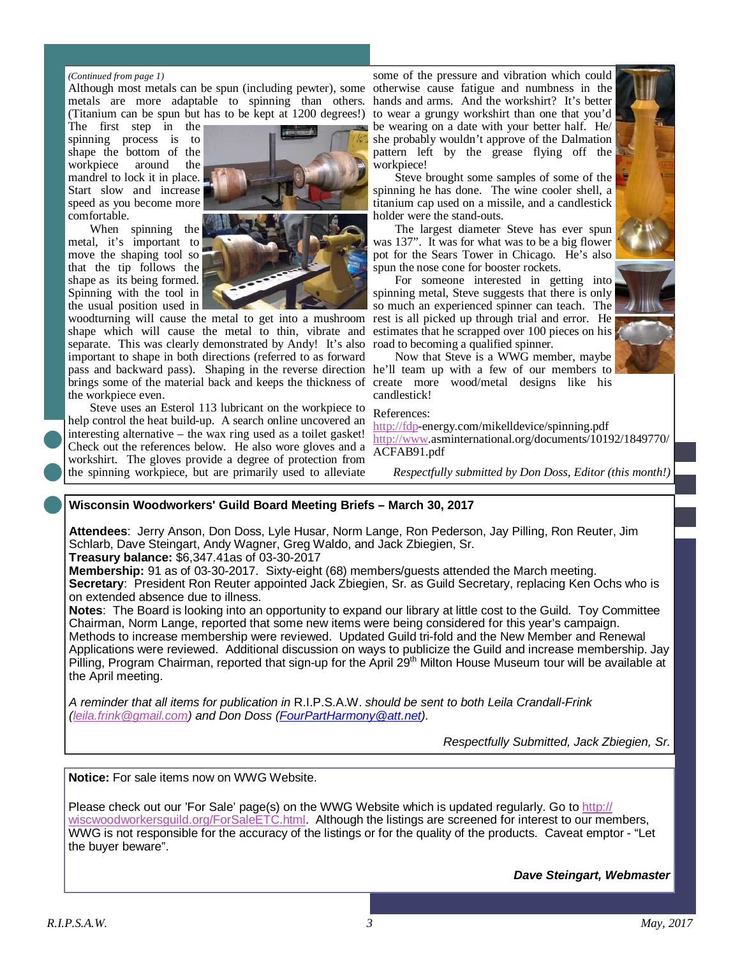#### *(Continued from page 1)*

Although most metals can be spun (including pewter), some otherwise cause fatigue and numbness in the metals are more adaptable to spinning than others. hands and arms. And the workshirt? It's better (Titanium can be spun but has to be kept at 1200 degrees!)

The first step in the spinning process is to shape the bottom of the workpiece around the mandrel to lock it in place. Start slow and increase speed as you become more comfortable.

When spinning the metal, it's important to move the shaping tool so that the tip follows the shape as its being formed. Spinning with the tool in the usual position used in



woodturning will cause the metal to get into a mushroom shape which will cause the metal to thin, vibrate and separate. This was clearly demonstrated by Andy! It's also important to shape in both directions (referred to as forward pass and backward pass). Shaping in the reverse direction he'll team up with a few of our members to brings some of the material back and keeps the thickness of create more wood/metal designs like his the workpiece even.

Steve uses an Esterol 113 lubricant on the workpiece to help control the heat build-up. A search online uncovered an interesting alternative – the wax ring used as a toilet gasket! Check out the references below. He also wore gloves and a workshirt. The gloves provide a degree of protection from the spinning workpiece, but are primarily used to alleviate

some of the pressure and vibration which could to wear a grungy workshirt than one that you'd be wearing on a date with your better half. He/ she probably wouldn't approve of the Dalmation pattern left by the grease flying off the workpiece!

Steve brought some samples of some of the spinning he has done. The wine cooler shell, a titanium cap used on a missile, and a candlestick holder were the stand-outs.

The largest diameter Steve has ever spun was 137". It was for what was to be a big flower pot for the Sears Tower in Chicago. He's also spun the nose cone for booster rockets.

For someone interested in getting into spinning metal, Steve suggests that there is only so much an experienced spinner can teach. The rest is all picked up through trial and error. He estimates that he scrapped over 100 pieces on his road to becoming a qualified spinner.

Now that Steve is a WWG member, maybe candlestick!

#### References:

http://fdp-energy.com/mikelldevice/spinning.pdf http://www.asminternational.org/documents/10192/1849770/ ACFAB91.pdf

*Respectfully submitted by Don Doss, Editor (this month!)* 

#### **Wisconsin Woodworkers' Guild Board Meeting Briefs – March 30, 2017**

**Attendees**: Jerry Anson, Don Doss, Lyle Husar, Norm Lange, Ron Pederson, Jay Pilling, Ron Reuter, Jim Schlarb, Dave Steingart, Andy Wagner, Greg Waldo, and Jack Zbiegien, Sr. **Treasury balance:** \$6,347.41as of 03-30-2017

**Membership:** 91 as of 03-30-2017. Sixty-eight (68) members/guests attended the March meeting. **Secretary**: President Ron Reuter appointed Jack Zbiegien, Sr. as Guild Secretary, replacing Ken Ochs who is on extended absence due to illness.

**Notes**: The Board is looking into an opportunity to expand our library at little cost to the Guild. Toy Committee Chairman, Norm Lange, reported that some new items were being considered for this year's campaign. Methods to increase membership were reviewed. Updated Guild tri-fold and the New Member and Renewal Applications were reviewed. Additional discussion on ways to publicize the Guild and increase membership. Jay Pilling, Program Chairman, reported that sign-up for the April 29<sup>th</sup> Milton House Museum tour will be available at the April meeting.

A reminder that all items for publication in R.I.P.S.A.W. should be sent to both Leila Crandall-Frink (leila.frink@gmail.com) and Don Doss (FourPartHarmony@att.net).

Respectfully Submitted, Jack Zbiegien, Sr.

**Notice:** For sale items now on WWG Website.

Please check out our 'For Sale' page(s) on the WWG Website which is updated regularly. Go to http:// wiscwoodworkersguild.org/ForSaleETC.html. Although the listings are screened for interest to our members, WWG is not responsible for the accuracy of the listings or for the quality of the products. Caveat emptor - "Let the buyer beware".

**Dave Steingart, Webmaster**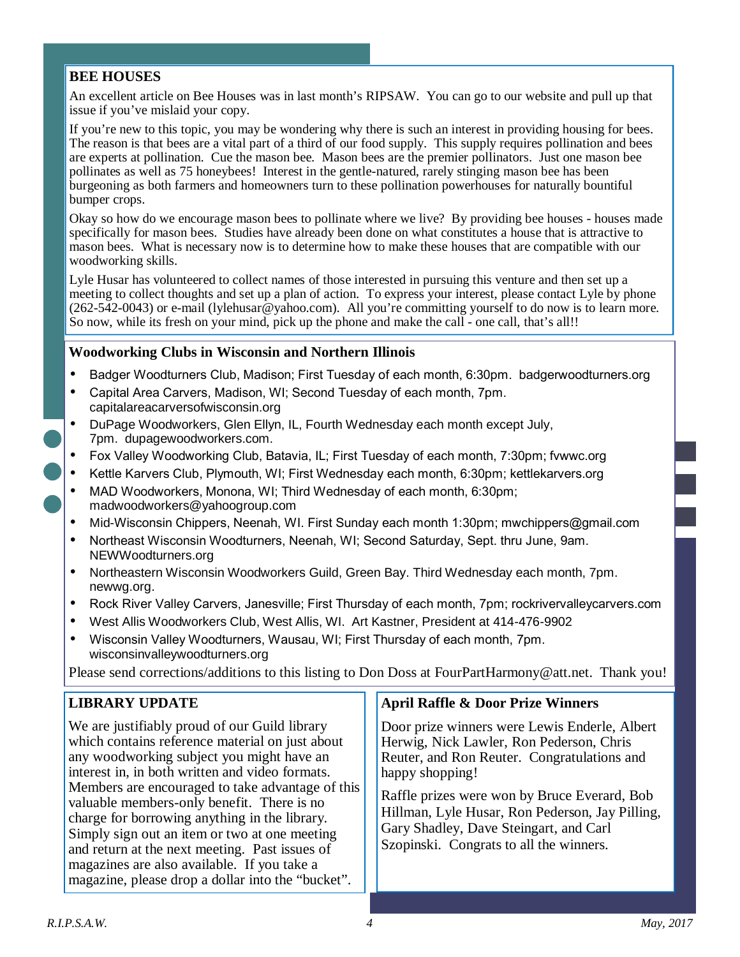## **BEE HOUSES**

An excellent article on Bee Houses was in last month's RIPSAW. You can go to our website and pull up that issue if you've mislaid your copy.

If you're new to this topic, you may be wondering why there is such an interest in providing housing for bees. The reason is that bees are a vital part of a third of our food supply. This supply requires pollination and bees are experts at pollination. Cue the mason bee. Mason bees are the premier pollinators. Just one mason bee pollinates as well as 75 honeybees! Interest in the gentle-natured, rarely stinging mason bee has been burgeoning as both farmers and homeowners turn to these pollination powerhouses for naturally bountiful bumper crops.

Okay so how do we encourage mason bees to pollinate where we live? By providing bee houses - houses made specifically for mason bees. Studies have already been done on what constitutes a house that is attractive to mason bees. What is necessary now is to determine how to make these houses that are compatible with our woodworking skills.

Lyle Husar has volunteered to collect names of those interested in pursuing this venture and then set up a meeting to collect thoughts and set up a plan of action. To express your interest, please contact Lyle by phone  $(262-542-0043)$  or e-mail (lylehusar@yahoo.com). All you're committing yourself to do now is to learn more. So now, while its fresh on your mind, pick up the phone and make the call - one call, that's all!!

#### **Woodworking Clubs in Wisconsin and Northern Illinois**

- Badger Woodturners Club, Madison; First Tuesday of each month, 6:30pm. badgerwoodturners.org
- Capital Area Carvers, Madison, WI; Second Tuesday of each month, 7pm. capitalareacarversofwisconsin.org
- DuPage Woodworkers, Glen Ellyn, IL, Fourth Wednesday each month except July, 7pm. dupagewoodworkers.com.
- Fox Valley Woodworking Club, Batavia, IL; First Tuesday of each month, 7:30pm; fvwwc.org
- Kettle Karvers Club, Plymouth, WI; First Wednesday each month, 6:30pm; kettlekarvers.org
- MAD Woodworkers, Monona, WI; Third Wednesday of each month, 6:30pm; madwoodworkers@yahoogroup.com
- Mid-Wisconsin Chippers, Neenah, WI. First Sunday each month 1:30pm; mwchippers@gmail.com
- Northeast Wisconsin Woodturners, Neenah, WI; Second Saturday, Sept. thru June, 9am. NEWWoodturners.org
- Northeastern Wisconsin Woodworkers Guild, Green Bay. Third Wednesday each month, 7pm. newwg.org.
- Rock River Valley Carvers, Janesville; First Thursday of each month, 7pm; rockrivervalleycarvers.com
- West Allis Woodworkers Club, West Allis, WI. Art Kastner, President at 414-476-9902
- Wisconsin Valley Woodturners, Wausau, WI; First Thursday of each month, 7pm. wisconsinvalleywoodturners.org

Please send corrections/additions to this listing to Don Doss at FourPartHarmony@att.net. Thank you!

### **LIBRARY UPDATE**

We are justifiably proud of our Guild library which contains reference material on just about any woodworking subject you might have an interest in, in both written and video formats. Members are encouraged to take advantage of this valuable members-only benefit. There is no charge for borrowing anything in the library. Simply sign out an item or two at one meeting and return at the next meeting. Past issues of magazines are also available. If you take a magazine, please drop a dollar into the "bucket".

#### **April Raffle & Door Prize Winners**

Door prize winners were Lewis Enderle, Albert Herwig, Nick Lawler, Ron Pederson, Chris Reuter, and Ron Reuter. Congratulations and happy shopping!

Raffle prizes were won by Bruce Everard, Bob Hillman, Lyle Husar, Ron Pederson, Jay Pilling, Gary Shadley, Dave Steingart, and Carl Szopinski. Congrats to all the winners.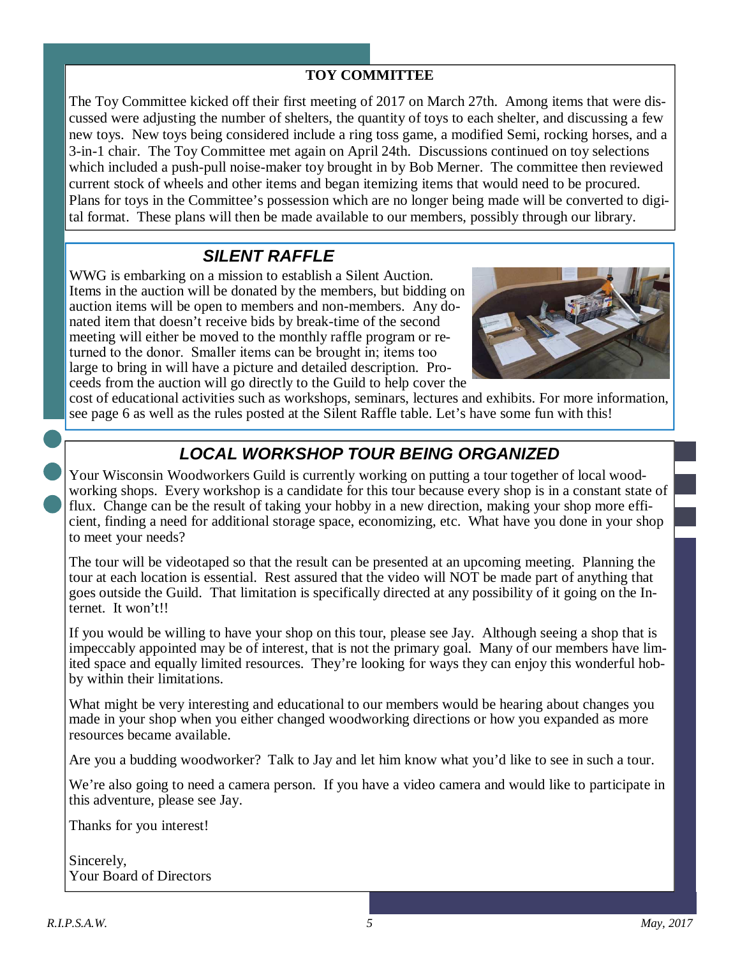## **TOY COMMITTEE**

The Toy Committee kicked off their first meeting of 2017 on March 27th. Among items that were discussed were adjusting the number of shelters, the quantity of toys to each shelter, and discussing a few new toys. New toys being considered include a ring toss game, a modified Semi, rocking horses, and a 3-in-1 chair. The Toy Committee met again on April 24th. Discussions continued on toy selections which included a push-pull noise-maker toy brought in by Bob Merner. The committee then reviewed current stock of wheels and other items and began itemizing items that would need to be procured. Plans for toys in the Committee's possession which are no longer being made will be converted to digital format. These plans will then be made available to our members, possibly through our library.

## **SILENT RAFFLE**

WWG is embarking on a mission to establish a Silent Auction. Items in the auction will be donated by the members, but bidding on auction items will be open to members and non-members. Any donated item that doesn't receive bids by break-time of the second meeting will either be moved to the monthly raffle program or returned to the donor. Smaller items can be brought in; items too large to bring in will have a picture and detailed description. Proceeds from the auction will go directly to the Guild to help cover the



cost of educational activities such as workshops, seminars, lectures and exhibits. For more information, see page 6 as well as the rules posted at the Silent Raffle table. Let's have some fun with this!

# **LOCAL WORKSHOP TOUR BEING ORGANIZED**

Your Wisconsin Woodworkers Guild is currently working on putting a tour together of local woodworking shops. Every workshop is a candidate for this tour because every shop is in a constant state of flux. Change can be the result of taking your hobby in a new direction, making your shop more efficient, finding a need for additional storage space, economizing, etc. What have you done in your shop to meet your needs?

The tour will be videotaped so that the result can be presented at an upcoming meeting. Planning the tour at each location is essential. Rest assured that the video will NOT be made part of anything that goes outside the Guild. That limitation is specifically directed at any possibility of it going on the Internet. It won't!!

If you would be willing to have your shop on this tour, please see Jay. Although seeing a shop that is impeccably appointed may be of interest, that is not the primary goal. Many of our members have limited space and equally limited resources. They're looking for ways they can enjoy this wonderful hobby within their limitations.

What might be very interesting and educational to our members would be hearing about changes you made in your shop when you either changed woodworking directions or how you expanded as more resources became available.

Are you a budding woodworker? Talk to Jay and let him know what you'd like to see in such a tour.

We're also going to need a camera person. If you have a video camera and would like to participate in this adventure, please see Jay.

Thanks for you interest!

Sincerely, Your Board of Directors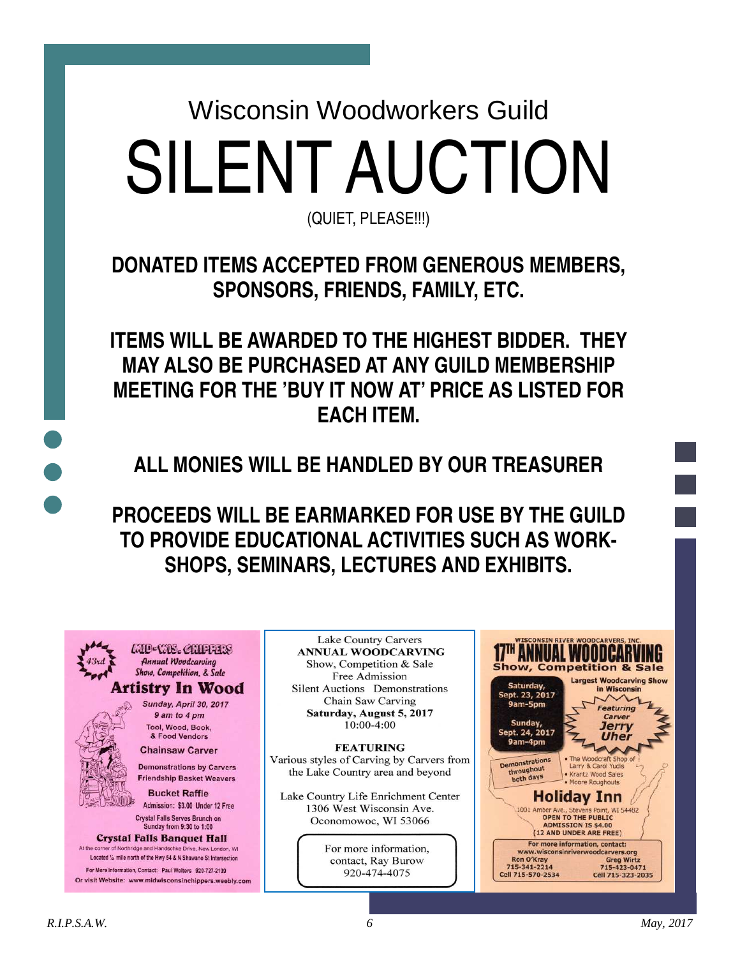Wisconsin Woodworkers Guild SILENT AUCTION

(QUIET, PLEASE!!!)

**DONATED ITEMS ACCEPTED FROM GENEROUS MEMBERS, SPONSORS, FRIENDS, FAMILY, ETC.** 

**ITEMS WILL BE AWARDED TO THE HIGHEST BIDDER. THEY MAY ALSO BE PURCHASED AT ANY GUILD MEMBERSHIP MEETING FOR THE 'BUY IT NOW AT' PRICE AS LISTED FOR EACH ITEM.** 

**ALL MONIES WILL BE HANDLED BY OUR TREASURER** 

**PROCEEDS WILL BE EARMARKED FOR USE BY THE GUILD TO PROVIDE EDUCATIONAL ACTIVITIES SUCH AS WORK-SHOPS, SEMINARS, LECTURES AND EXHIBITS.** 

MD-WIS. CHIFFERS **Annual Woodcarving** Show, Competition, & Sale Artistry In Wood

> Sunday, April 30, 2017 9 am to 4 pm Tool, Wood, Book, & Food Vendors

**Chainsaw Carver Demonstrations by Carvers Friendship Basket Weavers** 

**Bucket Raffle** Admission: \$3.00 Under 12 Free Crystal Falls Serves Brunch on

Sunday from 9:30 to 1:00 **Crystal Falls Banquet Hall** At the corner of Northridge and Handschke Drive, New London, W

Located 1/2 mile north of the Hwy 54 & N Shawano St Intersection For More Information, Contact: Paul Wolters 920-727-2139 Or visit Website: www.midwisconsinchippers.weebly.com

**Lake Country Carvers ANNUAL WOODCARVING** Show, Competition & Sale Free Admission Silent Auctions Demonstrations Chain Saw Carving Saturday, August 5, 2017  $10:00-4:00$ 

**FEATURING** Various styles of Carving by Carvers from the Lake Country area and beyond

Lake Country Life Enrichment Center 1306 West Wisconsin Ave. Oconomowoc, WI 53066

> For more information, contact, Ray Burow 920-474-4075

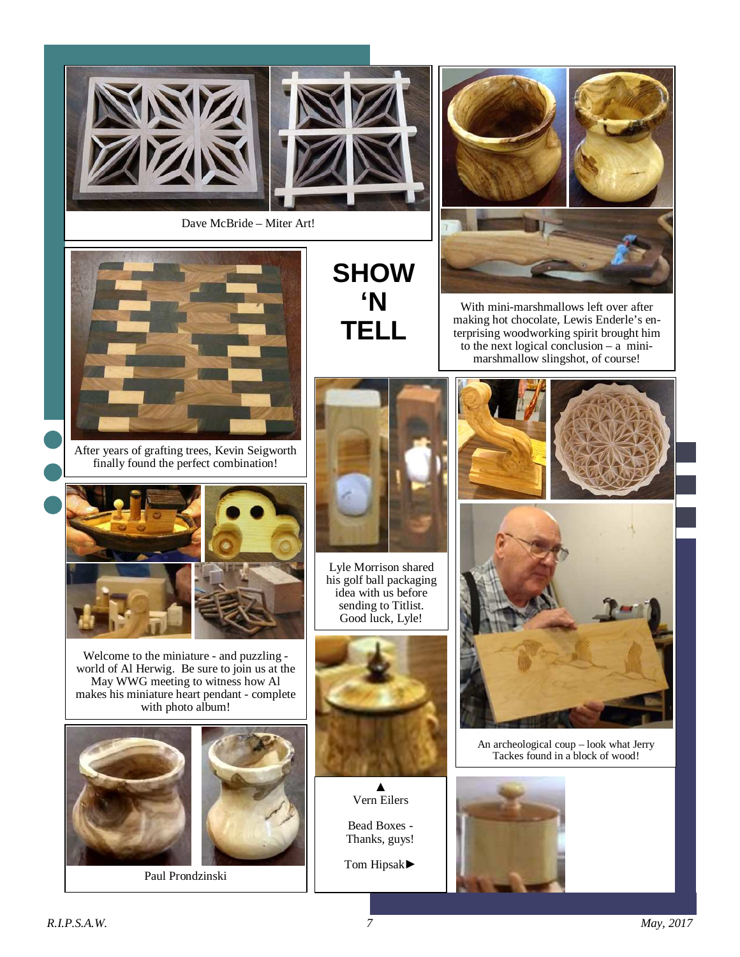



Dave McBride – Miter Art!



After years of grafting trees, Kevin Seigworth finally found the perfect combination!



Welcome to the miniature - and puzzling world of Al Herwig. Be sure to join us at the May WWG meeting to witness how Al makes his miniature heart pendant - complete with photo album!





Paul Prondzinski

# **SHOW 'N TELL**



With mini-marshmallows left over after making hot chocolate, Lewis Enderle's enterprising woodworking spirit brought him to the next logical conclusion  $-$  a minimarshmallow slingshot, of course!



Lyle Morrison shared his golf ball packaging idea with us before sending to Titlist. Good luck, Lyle!



▲ Vern Eilers



Tom Hipsak►







An archeological coup – look what Jerry Tackes found in a block of wood!